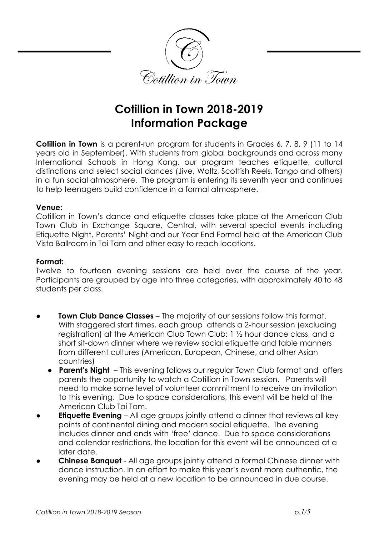

# **Cotillion in Town 2018-2019 Information Package**

**Cotillion in Town** is a parent-run program for students in Grades 6, 7, 8, 9 (11 to 14 years old in September). With students from global backgrounds and across many International Schools in Hong Kong, our program teaches etiquette, cultural distinctions and select social dances (Jive, Waltz, Scottish Reels, Tango and others) in a fun social atmosphere. The program is entering its seventh year and continues to help teenagers build confidence in a formal atmosphere.

# **Venue:**

Cotillion in Town's dance and etiquette classes take place at the American Club Town Club in Exchange Square, Central, with several special events including Etiquette Night, Parents' Night and our Year End Formal held at the American Club Vista Ballroom in Tai Tam and other easy to reach locations.

# **Format:**

Twelve to fourteen evening sessions are held over the course of the year. Participants are grouped by age into three categories, with approximately 40 to 48 students per class.

- **Town Club Dance Classes** The majority of our sessions follow this format. With staggered start times, each group attends a 2-hour session (excluding registration) at the American Club Town Club: 1 ½ hour dance class, and a short sit-down dinner where we review social etiquette and table manners from different cultures (American, European, Chinese, and other Asian countries)
	- **Parent's Night**  This evening follows our regular Town Club format and offers parents the opportunity to watch a Cotillion in Town session. Parents will need to make some level of volunteer commitment to receive an invitation to this evening. Due to space considerations, this event will be held at the American Club Tai Tam.
- **Etiquette Evening** All age groups jointly attend a dinner that reviews all key points of continental dining and modern social etiquette. The evening includes dinner and ends with 'free' dance. Due to space considerations and calendar restrictions, the location for this event will be announced at a later date.
- **Chinese Banquet** All age groups jointly attend a formal Chinese dinner with dance instruction. In an effort to make this year's event more authentic, the evening may be held at a new location to be announced in due course.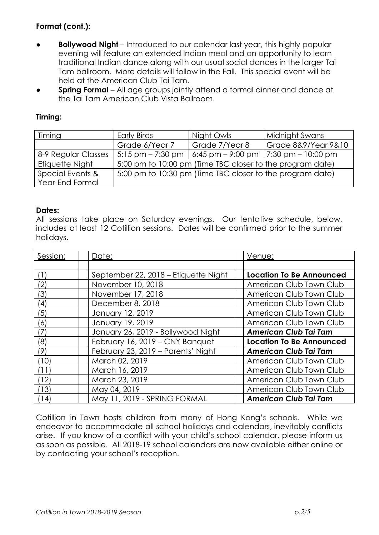# **Format (cont.):**

- **Bollywood Night** Introduced to our calendar last year, this highly popular evening will feature an extended Indian meal and an opportunity to learn traditional Indian dance along with our usual social dances in the larger Tai Tam ballroom. More details will follow in the Fall. This special event will be held at the American Club Tai Tam.
- **Spring Formal** All age groups jointly attend a formal dinner and dance at the Tai Tam American Club Vista Ballroom.

# **Timing:**

| <b>Timing</b>       | <b>Early Birds</b>                                        | Night Owls     | Midnight Swans                                                                 |  |  |
|---------------------|-----------------------------------------------------------|----------------|--------------------------------------------------------------------------------|--|--|
|                     | Grade 6/Year 7                                            | Grade 7/Year 8 | Grade 8&9/Year 9&10                                                            |  |  |
| 8-9 Regular Classes |                                                           |                | $\vert$ 5:15 pm – 7:30 pm $\vert$ 6:45 pm – 9:00 pm $\vert$ 7:30 pm – 10:00 pm |  |  |
| Etiquette Night     | 5:00 pm to 10:00 pm (Time TBC closer to the program date) |                |                                                                                |  |  |
| Special Events &    | 5:00 pm to 10:30 pm (Time TBC closer to the program date) |                |                                                                                |  |  |
| Year-End Formal     |                                                           |                |                                                                                |  |  |

# **Dates:**

All sessions take place on Saturday evenings. Our tentative schedule, below, includes at least 12 Cotillion sessions. Dates will be confirmed prior to the summer holidays.

| Session: | Date:                                | Venue:                          |
|----------|--------------------------------------|---------------------------------|
|          |                                      |                                 |
|          | September 22, 2018 – Etiquette Night | <b>Location To Be Announced</b> |
| (2)      | November 10, 2018                    | American Club Town Club         |
| (3)      | November 17, 2018                    | American Club Town Club         |
| (4)      | December 8, 2018                     | American Club Town Club         |
| '5)      | January 12, 2019                     | American Club Town Club         |
| (6)      | January 19, 2019                     | American Club Town Club         |
| (7)      | January 26, 2019 - Bollywood Night   | <b>American Club Tai Tam</b>    |
| (8)      | February 16, 2019 - CNY Banquet      | <b>Location To Be Announced</b> |
| (9)      | February 23, 2019 - Parents' Night   | <b>American Club Tai Tam</b>    |
| (10)     | March 02, 2019                       | American Club Town Club         |
| (11)     | March 16, 2019                       | American Club Town Club         |
| 12)      | March 23, 2019                       | American Club Town Club         |
| (13)     | May 04, 2019                         | American Club Town Club         |
| (14)     | May 11, 2019 - SPRING FORMAL         | <b>American Club Tai Tam</b>    |

Cotillion in Town hosts children from many of Hong Kong's schools. While we endeavor to accommodate all school holidays and calendars, inevitably conflicts arise. If you know of a conflict with your child's school calendar, please inform us as soon as possible. All 2018-19 school calendars are now available either online or by contacting your school's reception.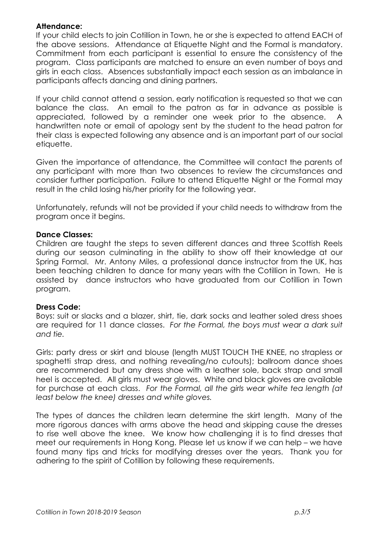# **Attendance:**

If your child elects to join Cotillion in Town, he or she is expected to attend EACH of the above sessions. Attendance at Etiquette Night and the Formal is mandatory. Commitment from each participant is essential to ensure the consistency of the program. Class participants are matched to ensure an even number of boys and girls in each class. Absences substantially impact each session as an imbalance in participants affects dancing and dining partners.

If your child cannot attend a session, early notification is requested so that we can balance the class. An email to the patron as far in advance as possible is appreciated, followed by a reminder one week prior to the absence. A handwritten note or email of apology sent by the student to the head patron for their class is expected following any absence and is an important part of our social etiquette.

Given the importance of attendance, the Committee will contact the parents of any participant with more than two absences to review the circumstances and consider further participation. Failure to attend Etiquette Night or the Formal may result in the child losing his/her priority for the following year.

Unfortunately, refunds will not be provided if your child needs to withdraw from the program once it begins.

#### **Dance Classes:**

Children are taught the steps to seven different dances and three Scottish Reels during our season culminating in the ability to show off their knowledge at our Spring Formal. Mr. Antony Miles, a professional dance instructor from the UK, has been teaching children to dance for many years with the Cotillion in Town. He is assisted by dance instructors who have graduated from our Cotillion in Town program.

# **Dress Code:**

Boys: suit or slacks and a blazer, shirt, tie, dark socks and leather soled dress shoes are required for 11 dance classes. *For the Formal, the boys must wear a dark suit and tie.*

Girls: party dress or skirt and blouse (length MUST TOUCH THE KNEE, no strapless or spaghetti strap dress, and nothing revealing/no cutouts); ballroom dance shoes are recommended but any dress shoe with a leather sole, back strap and small heel is accepted. All girls must wear gloves. White and black gloves are available for purchase at each class. *For the Formal, all the girls wear white tea length (at least below the knee) dresses and white gloves.*

The types of dances the children learn determine the skirt length. Many of the more rigorous dances with arms above the head and skipping cause the dresses to rise well above the knee. We know how challenging it is to find dresses that meet our requirements in Hong Kong. Please let us know if we can help – we have found many tips and tricks for modifying dresses over the years. Thank you for adhering to the spirit of Cotillion by following these requirements.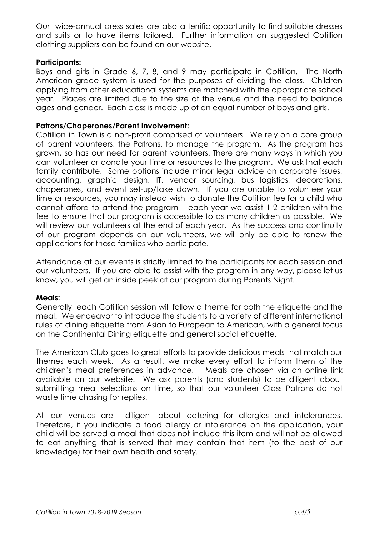Our twice-annual dress sales are also a terrific opportunity to find suitable dresses and suits or to have items tailored. Further information on suggested Cotillion clothing suppliers can be found on our website.

# **Participants:**

Boys and girls in Grade 6, 7, 8, and 9 may participate in Cotillion. The North American grade system is used for the purposes of dividing the class. Children applying from other educational systems are matched with the appropriate school year. Places are limited due to the size of the venue and the need to balance ages and gender. Each class is made up of an equal number of boys and girls.

#### **Patrons/Chaperones/Parent Involvement:**

Cotillion in Town is a non-profit comprised of volunteers. We rely on a core group of parent volunteers, the Patrons, to manage the program. As the program has grown, so has our need for parent volunteers. There are many ways in which you can volunteer or donate your time or resources to the program. We ask that each family contribute. Some options include minor legal advice on corporate issues. accounting, graphic design, IT, vendor sourcing, bus logistics, decorations, chaperones, and event set-up/take down. If you are unable to volunteer your time or resources, you may instead wish to donate the Cotillion fee for a child who cannot afford to attend the program – each year we assist 1-2 children with the fee to ensure that our program is accessible to as many children as possible. We will review our volunteers at the end of each year. As the success and continuity of our program depends on our volunteers, we will only be able to renew the applications for those families who participate.

Attendance at our events is strictly limited to the participants for each session and our volunteers. If you are able to assist with the program in any way, please let us know, you will get an inside peek at our program during Parents Night.

#### **Meals:**

Generally, each Cotillion session will follow a theme for both the etiquette and the meal. We endeavor to introduce the students to a variety of different international rules of dining etiquette from Asian to European to American, with a general focus on the Continental Dining etiquette and general social etiquette.

The American Club goes to great efforts to provide delicious meals that match our themes each week. As a result, we make every effort to inform them of the children's meal preferences in advance. Meals are chosen via an online link available on our website. We ask parents (and students) to be diligent about submitting meal selections on time, so that our volunteer Class Patrons do not waste time chasing for replies.

All our venues are diligent about catering for allergies and intolerances. Therefore, if you indicate a food allergy or intolerance on the application, your child will be served a meal that does not include this item and will not be allowed to eat anything that is served that may contain that item (to the best of our knowledge) for their own health and safety.